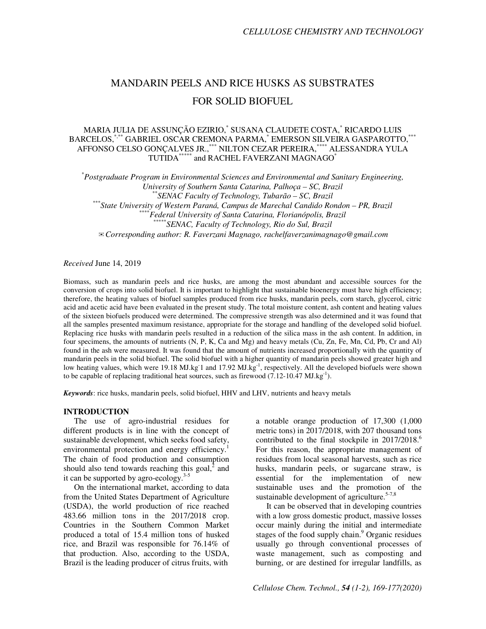# MANDARIN PEELS AND RICE HUSKS AS SUBSTRATES FOR SOLID BIOFUEL

# MARIA JULIA DE ASSUNÇÃO EZIRIO,\* SUSANA CLAUDETE COSTA,\* RICARDO LUIS BARCELOS,\*,\*\*\* GABRIEL OSCAR CREMONA PARMA,\* EMERSON SILVEIRA GASPAROTTO,\*\*\* AFFONSO CELSO GONÇALVES JR.,\*\*\* NILTON CEZAR PEREIRA,\*\*\*\* ALESSANDRA YULA TUTIDA\*\*\*\*\* and RACHEL FAVERZANI MAGNAGO\*

\* *Postgraduate Program in Environmental Sciences and Environmental and Sanitary Engineering, University of Southern Santa Catarina, Palhoça – SC, Brazil*  \*\**SENAC Faculty of Technology, Tubarão – SC, Brazil*  \*\*\**State University of Western Paraná, Campus de Marechal Candido Rondon – PR, Brazil*  \*\*\*\**Federal University of Santa Catarina, Florianópolis, Brazil*  \*\**SENAC, Faculty of Technology, Rio do Sul, Brazil* ✉*Corresponding author: R. Faverzani Magnago, rachelfaverzanimagnago@gmail.com* 

*Received* June 14, 2019

Biomass, such as mandarin peels and rice husks, are among the most abundant and accessible sources for the conversion of crops into solid biofuel. It is important to highlight that sustainable bioenergy must have high efficiency; therefore, the heating values of biofuel samples produced from rice husks, mandarin peels, corn starch, glycerol, citric acid and acetic acid have been evaluated in the present study. The total moisture content, ash content and heating values of the sixteen biofuels produced were determined. The compressive strength was also determined and it was found that all the samples presented maximum resistance, appropriate for the storage and handling of the developed solid biofuel. Replacing rice husks with mandarin peels resulted in a reduction of the silica mass in the ash content. In addition, in four specimens, the amounts of nutrients (N, P, K, Ca and Mg) and heavy metals (Cu, Zn, Fe, Mn, Cd, Pb, Cr and Al) found in the ash were measured. It was found that the amount of nutrients increased proportionally with the quantity of mandarin peels in the solid biofuel. The solid biofuel with a higher quantity of mandarin peels showed greater high and low heating values, which were 19.18 MJ.kg 1 and 17.92 MJ.kg<sup>-1</sup>, respectively. All the developed biofuels were shown to be capable of replacing traditional heat sources, such as firewood  $(7.12\t{-}10.47 \text{ MJ.kg}^{-1})$ .

*Keywords*: rice husks, mandarin peels, solid biofuel, HHV and LHV, nutrients and heavy metals

#### **INTRODUCTION**

The use of agro-industrial residues for different products is in line with the concept of sustainable development, which seeks food safety, environmental protection and energy efficiency.<sup>1</sup> The chain of food production and consumption should also tend towards reaching this goal, $\frac{3}{2}$  and it can be supported by agro-ecology. $3-5$ 

On the international market, according to data from the United States Department of Agriculture (USDA), the world production of rice reached 483.66 million tons in the 2017/2018 crop. Countries in the Southern Common Market produced a total of 15.4 million tons of husked rice, and Brazil was responsible for 76.14% of that production. Also, according to the USDA, Brazil is the leading producer of citrus fruits, with

a notable orange production of 17,300 (1,000 metric tons) in 2017/2018, with 207 thousand tons contributed to the final stockpile in  $2017/2018$ .<sup>6</sup> For this reason, the appropriate management of residues from local seasonal harvests, such as rice husks, mandarin peels, or sugarcane straw, is essential for the implementation of new sustainable uses and the promotion of the sustainable development of agriculture. $5-7,8$ 

It can be observed that in developing countries with a low gross domestic product, massive losses occur mainly during the initial and intermediate stages of the food supply chain.<sup>9</sup> Organic residues usually go through conventional processes of waste management, such as composting and burning, or are destined for irregular landfills, as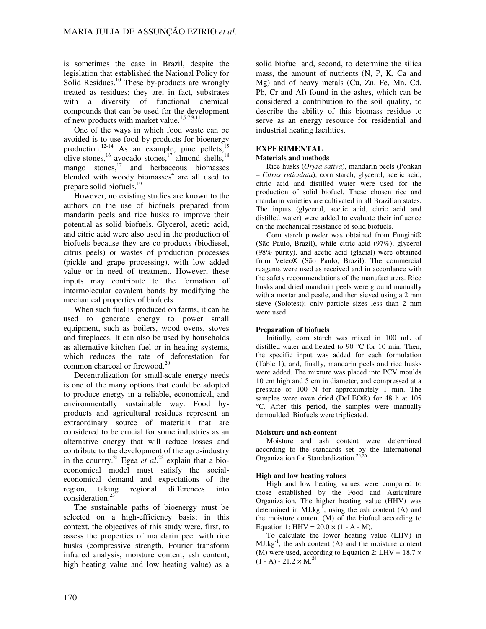is sometimes the case in Brazil, despite the legislation that established the National Policy for Solid Residues.<sup>10</sup> These by-products are wrongly treated as residues; they are, in fact, substrates with a diversity of functional chemical compounds that can be used for the development of new products with market value.4,5,7,9,11

One of the ways in which food waste can be avoided is to use food by-products for bioenergy production.<sup>12-14</sup> As an example, pine pellets,<sup>15</sup> olive stones,<sup>16</sup> avocado stones,<sup>17</sup> almond shells,<sup>18</sup> mango  $\text{stones}$ ,<sup>17</sup> and herbaceous biomasses blended with woody biomasses<sup>4</sup> are all used to prepare solid biofuels.<sup>19</sup>

However, no existing studies are known to the authors on the use of biofuels prepared from mandarin peels and rice husks to improve their potential as solid biofuels. Glycerol, acetic acid, and citric acid were also used in the production of biofuels because they are co-products (biodiesel, citrus peels) or wastes of production processes (pickle and grape processing), with low added value or in need of treatment. However, these inputs may contribute to the formation of intermolecular covalent bonds by modifying the mechanical properties of biofuels.

When such fuel is produced on farms, it can be used to generate energy to power small equipment, such as boilers, wood ovens, stoves and fireplaces. It can also be used by households as alternative kitchen fuel or in heating systems, which reduces the rate of deforestation for common charcoal or firewood.<sup>20</sup>

Decentralization for small-scale energy needs is one of the many options that could be adopted to produce energy in a reliable, economical, and environmentally sustainable way. Food byproducts and agricultural residues represent an extraordinary source of materials that are considered to be crucial for some industries as an alternative energy that will reduce losses and contribute to the development of the agro-industry in the country.<sup>21</sup> Egea *et al.*<sup>22</sup> explain that a bioeconomical model must satisfy the socialeconomical demand and expectations of the region, taking regional differences into consideration.<sup>23</sup>

The sustainable paths of bioenergy must be selected on a high-efficiency basis; in this context, the objectives of this study were, first, to assess the properties of mandarin peel with rice husks (compressive strength, Fourier transform infrared analysis, moisture content, ash content, high heating value and low heating value) as a

solid biofuel and, second, to determine the silica mass, the amount of nutrients (N, P, K, Ca and Mg) and of heavy metals (Cu, Zn, Fe, Mn, Cd, Pb, Cr and Al) found in the ashes, which can be considered a contribution to the soil quality, to describe the ability of this biomass residue to serve as an energy resource for residential and industrial heating facilities.

# **EXPERIMENTAL**

### **Materials and methods**

Rice husks (*Oryza sativa*), mandarin peels (Ponkan – *Citrus reticulata*), corn starch, glycerol, acetic acid, citric acid and distilled water were used for the production of solid biofuel. These chosen rice and mandarin varieties are cultivated in all Brazilian states. The inputs (glycerol, acetic acid, citric acid and distilled water) were added to evaluate their influence on the mechanical resistance of solid biofuels.

Corn starch powder was obtained from Fungini® (São Paulo, Brazil), while citric acid (97%), glycerol (98% purity), and acetic acid (glacial) were obtained from Vetec® (São Paulo, Brazil). The commercial reagents were used as received and in accordance with the safety recommendations of the manufacturers. Rice husks and dried mandarin peels were ground manually with a mortar and pestle, and then sieved using a 2 mm sieve (Solotest); only particle sizes less than 2 mm were used.

## **Preparation of biofuels**

Initially, corn starch was mixed in 100 mL of distilled water and heated to 90 °C for 10 min. Then, the specific input was added for each formulation (Table 1), and, finally, mandarin peels and rice husks were added. The mixture was placed into PCV moulds 10 cm high and 5 cm in diameter, and compressed at a pressure of 100 N for approximately 1 min. The samples were oven dried (DeLEO®) for 48 h at 105 °C. After this period, the samples were manually demoulded. Biofuels were triplicated.

#### **Moisture and ash content**

Moisture and ash content were determined according to the standards set by the International Organization for Standardization.<sup>25,26</sup>

#### **High and low heating values**

High and low heating values were compared to those established by the Food and Agriculture Organization. The higher heating value (HHV) was determined in  $MJ.kg^{-1}$ , using the ash content (A) and the moisture content (M) of the biofuel according to Equation 1: HHV =  $20.0 \times (1 - A - M)$ .

To calculate the lower heating value (LHV) in  $MJ.kg^{-1}$ , the ash content (A) and the moisture content (M) were used, according to Equation 2: LHV =  $18.7 \times$  $(1 - A) - 21.2 \times M^{24}$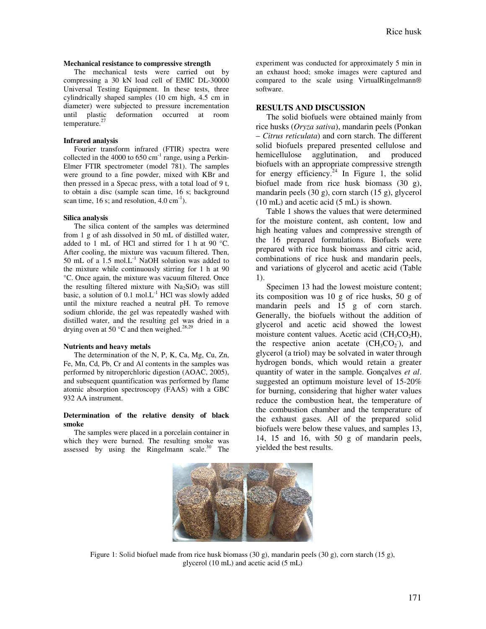#### **Mechanical resistance to compressive strength**

The mechanical tests were carried out by compressing a 30 kN load cell of EMIC DL-30000 Universal Testing Equipment. In these tests, three cylindrically shaped samples (10 cm high, 4.5 cm in diameter) were subjected to pressure incrementation until plastic deformation occurred at room temperature. $27$ 

#### **Infrared analysis**

Fourier transform infrared (FTIR) spectra were collected in the 4000 to  $650 \text{ cm}^{-1}$  range, using a Perkin-Elmer FTIR spectrometer (model 781). The samples were ground to a fine powder, mixed with KBr and then pressed in a Specac press, with a total load of 9 t, to obtain a disc (sample scan time, 16 s; background scan time, 16 s; and resolution,  $4.0 \text{ cm}^{-1}$ ).

#### **Silica analysis**

The silica content of the samples was determined from 1 g of ash dissolved in 50 mL of distilled water, added to 1 mL of HCl and stirred for 1 h at 90 °C. After cooling, the mixture was vacuum filtered. Then, 50 mL of a  $1.5 \text{ mol}$ .  $L^{-1}$  NaOH solution was added to the mixture while continuously stirring for 1 h at 90 °C. Once again, the mixture was vacuum filtered. Once the resulting filtered mixture with  $Na<sub>2</sub>SiO<sub>3</sub>$  was still basic, a solution of  $0.1 \text{ mol.L}^{-1}$  HCl was slowly added until the mixture reached a neutral pH. To remove sodium chloride, the gel was repeatedly washed with distilled water, and the resulting gel was dried in a drying oven at 50  $^{\circ}$ C and then weighed.<sup>28,29</sup>

#### **Nutrients and heavy metals**

The determination of the N, P, K, Ca, Mg, Cu, Zn, Fe, Mn, Cd, Pb, Cr and Al contents in the samples was performed by nitroperchloric digestion (AOAC, 2005), and subsequent quantification was performed by flame atomic absorption spectroscopy (FAAS) with a GBC 932 AA instrument.

#### **Determination of the relative density of black smoke**

The samples were placed in a porcelain container in which they were burned. The resulting smoke was assessed by using the Ringelmann scale. $30$  The experiment was conducted for approximately 5 min in an exhaust hood; smoke images were captured and compared to the scale using VirtualRingelmann® software.

#### **RESULTS AND DISCUSSION**

The solid biofuels were obtained mainly from rice husks (*Oryza sativa*), mandarin peels (Ponkan – *Citrus reticulata*) and corn starch. The different solid biofuels prepared presented cellulose and hemicellulose agglutination, and produced biofuels with an appropriate compressive strength for energy efficiency.<sup>24</sup> In Figure 1, the solid biofuel made from rice husk biomass (30 g), mandarin peels (30 g), corn starch (15 g), glycerol (10 mL) and acetic acid (5 mL) is shown.

Table 1 shows the values that were determined for the moisture content, ash content, low and high heating values and compressive strength of the 16 prepared formulations. Biofuels were prepared with rice husk biomass and citric acid, combinations of rice husk and mandarin peels, and variations of glycerol and acetic acid (Table 1).

Specimen 13 had the lowest moisture content; its composition was 10 g of rice husks, 50 g of mandarin peels and 15 g of corn starch. Generally, the biofuels without the addition of glycerol and acetic acid showed the lowest moisture content values. Acetic acid  $(CH_3CO_2H)$ , the respective anion acetate  $(CH_3CO_2)$ , and glycerol (a triol) may be solvated in water through hydrogen bonds, which would retain a greater quantity of water in the sample. Gonçalves *et al*. suggested an optimum moisture level of 15-20% for burning, considering that higher water values reduce the combustion heat, the temperature of the combustion chamber and the temperature of the exhaust gases. All of the prepared solid biofuels were below these values, and samples 13, 14, 15 and 16, with 50 g of mandarin peels, yielded the best results.



Figure 1: Solid biofuel made from rice husk biomass (30 g), mandarin peels (30 g), corn starch (15 g), glycerol (10 mL) and acetic acid (5 mL)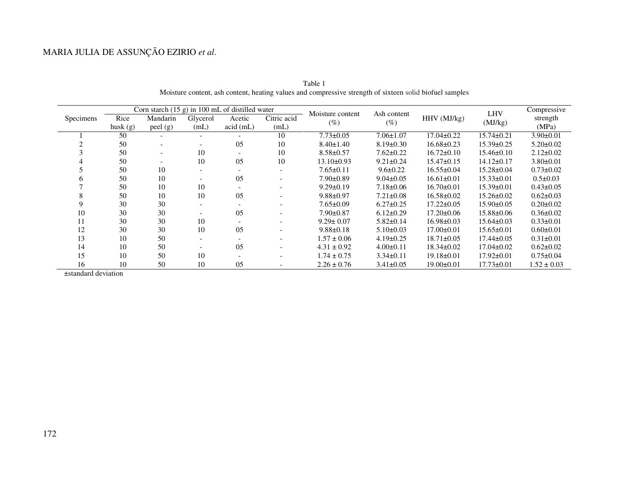# MARIA JULIA DE ASSUNÇÃO EZIRIO *et al*.

|           | Corn starch $(15 g)$ in 100 mL of distilled water |          |          |          |                          | Moisture content | Ash content     |                  | <b>LHV</b>       | Compressive     |
|-----------|---------------------------------------------------|----------|----------|----------|--------------------------|------------------|-----------------|------------------|------------------|-----------------|
| Specimens | Rice                                              | Mandarin | Glycerol | Acetic   | Citric acid              | $(\%)$           | $(\%)$          | HHV (MJ/kg)      | (MJ/kg)          | strength        |
|           | husk $(g)$                                        | peel(g)  | (mL)     | acid(mL) | (mL)                     |                  |                 |                  |                  | (MPa)           |
|           | 50                                                |          |          |          | 10                       | $7.73 \pm 0.05$  | $7.06 \pm 1.07$ | $17.04 \pm 0.22$ | $15.74 \pm 0.21$ | $3.90 \pm 0.01$ |
|           | 50                                                |          |          | 05       | 10                       | $8.40 \pm 1.40$  | $8.19 \pm 0.30$ | $16.68 \pm 0.23$ | $15.39 \pm 0.25$ | $5.20 \pm 0.02$ |
|           | 50                                                |          | 10       |          | 10                       | $8.58 \pm 0.57$  | $7.62 \pm 0.22$ | $16.72 \pm 0.10$ | $15.46 \pm 0.10$ | $2.12 \pm 0.02$ |
|           | 50                                                |          | 10       | 05       | 10                       | $13.10 \pm 0.93$ | $9.21 \pm 0.24$ | $15.47 \pm 0.15$ | $14.12 \pm 0.17$ | $3.80 \pm 0.01$ |
|           | 50                                                | 10       |          |          |                          | $7.65 \pm 0.11$  | $9.6 \pm 0.22$  | $16.55 \pm 0.04$ | $15.28 \pm 0.04$ | $0.73 \pm 0.02$ |
|           | 50                                                | 10       |          | 05       |                          | $7.90 \pm 0.89$  | $9.04 \pm 0.05$ | $16.61 \pm 0.01$ | $15.33 \pm 0.01$ | $0.5 \pm 0.03$  |
|           | 50                                                | 10       | 10       |          |                          | $9.29 \pm 0.19$  | $7.18 \pm 0.06$ | $16.70 \pm 0.01$ | $15.39 \pm 0.01$ | $0.43 \pm 0.05$ |
|           | 50                                                | 10       | 10       | 05       |                          | $9.88 \pm 0.97$  | $7.21 \pm 0.08$ | $16.58 \pm 0.02$ | $15.26 \pm 0.02$ | $0.62 \pm 0.03$ |
|           | 30                                                | 30       |          |          |                          | $7.65 \pm 0.09$  | $6.27 \pm 0.25$ | $17.22 \pm 0.05$ | $15.90 \pm 0.05$ | $0.20 \pm 0.02$ |
| 10        | 30                                                | 30       |          | 05       |                          | $7.90 \pm 0.87$  | $6.12 \pm 0.29$ | $17.20 \pm 0.06$ | $15.88 \pm 0.06$ | $0.36 \pm 0.02$ |
| 11        | 30                                                | 30       | 10       |          |                          | $9.29 \pm 0.07$  | $5.82 \pm 0.14$ | $16.98 \pm 0.03$ | $15.64 \pm 0.03$ | $0.33 \pm 0.01$ |
| 12        | 30                                                | 30       | 10       | 05       | $\overline{\phantom{a}}$ | $9.88 \pm 0.18$  | $5.10 \pm 0.03$ | $17.00 \pm 0.01$ | $15.65 \pm 0.01$ | $0.60 \pm 0.01$ |
| 13        | 10                                                | 50       |          |          |                          | $1.57 \pm 0.06$  | $4.19\pm0.25$   | $18.71 \pm 0.05$ | $17.44 \pm 0.05$ | $0.31 \pm 0.01$ |
| 14        | 10                                                | 50       |          | 05       |                          | $4.31 \pm 0.92$  | $4.00 \pm 0.11$ | $18.34 \pm 0.02$ | $17.04 \pm 0.02$ | $0.62 \pm 0.02$ |
| 15        | 10                                                | 50       | 10       |          |                          | $1.74 \pm 0.75$  | $3.34\pm0.11$   | $19.18 \pm 0.01$ | $17.92 \pm 0.01$ | $0.75 \pm 0.04$ |
| 16        | 10                                                | 50       | 10       | 05       |                          | $2.26 \pm 0.76$  | $3.41 \pm 0.05$ | $19.00 \pm 0.01$ | $17.73 \pm 0.01$ | $1.52 \pm 0.03$ |

Table 1 Moisture content, ash content, heating values and compressive strength of sixteen solid biofuel samples

±standard deviation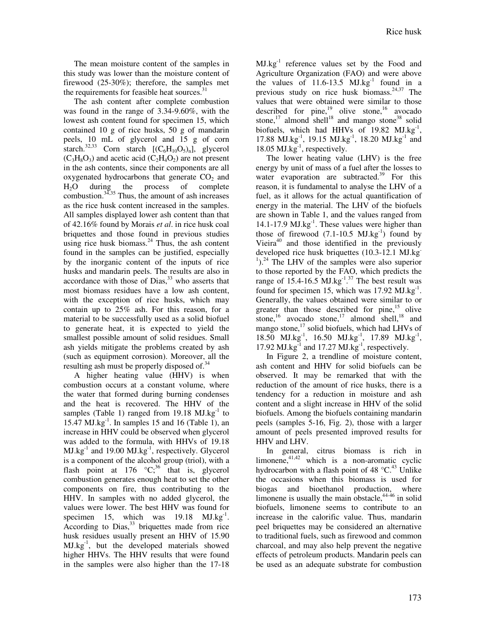The mean moisture content of the samples in this study was lower than the moisture content of firewood (25-30%); therefore, the samples met the requirements for feasible heat sources.<sup>31</sup>

The ash content after complete combustion was found in the range of 3.34-9.60%, with the lowest ash content found for specimen 15, which contained 10 g of rice husks, 50 g of mandarin peels, 10 mL of glycerol and 15 g of corn starch.<sup>32,33</sup> Corn starch  $[(C_6H_{10}O_5)_n]$ , glycerol  $(C_3H_8O_3)$  and acetic acid  $(C_2H_4O_2)$  are not present in the ash contents, since their components are all oxygenated hydrocarbons that generate  $CO<sub>2</sub>$  and H2O during the process of complete combustion. $34,35$  Thus, the amount of ash increases as the rice husk content increased in the samples. All samples displayed lower ash content than that of 42.16% found by Morais *et al*. in rice husk coal briquettes and those found in previous studies using rice husk biomass. $^{24}$  Thus, the ash content found in the samples can be justified, especially by the inorganic content of the inputs of rice husks and mandarin peels. The results are also in accordance with those of Dias, $33$  who asserts that most biomass residues have a low ash content, with the exception of rice husks, which may contain up to 25% ash. For this reason, for a material to be successfully used as a solid biofuel to generate heat, it is expected to yield the smallest possible amount of solid residues. Small ash yields mitigate the problems created by ash (such as equipment corrosion). Moreover, all the resulting ash must be properly disposed of.<sup>34</sup>

A higher heating value (HHV) is when combustion occurs at a constant volume, where the water that formed during burning condenses and the heat is recovered. The HHV of the samples (Table 1) ranged from  $19.18 \text{ MJ.kg}^{-1}$  to 15.47 MJ.kg $^{-1}$ . In samples 15 and 16 (Table 1), an increase in HHV could be observed when glycerol was added to the formula, with HHVs of 19.18  $MJ.kg^{-1}$  and 19.00  $MJ.kg^{-1}$ , respectively. Glycerol is a component of the alcohol group (triol), with a flash point at 176  $\mathrm{^{\circ}C_{3}}^{36}$  that is, glycerol combustion generates enough heat to set the other components on fire, thus contributing to the HHV. In samples with no added glycerol, the values were lower. The best HHV was found for specimen 15, which was  $19.18 \text{ MJ.kg}^{-1}$ . According to  $Dias$ ,  $33$  briquettes made from rice husk residues usually present an HHV of 15.90  $MJ.kg^{-1}$ , but the developed materials showed higher HHVs. The HHV results that were found in the samples were also higher than the 17-18

MJ.kg<sup>-1</sup> reference values set by the Food and Agriculture Organization (FAO) and were above the values of  $11.6-13.5$  MJ.kg<sup>-1</sup> found in a previous study on rice husk biomass. $24,37$  The values that were obtained were similar to those described for  $pine<sub>19</sub><sup>19</sup>$  olive stone,<sup>16</sup> avocado stone, $^{17}$  almond shell<sup>18</sup> and mango stone<sup>38</sup> solid biofuels, which had HHVs of  $19.82$  MJ.kg<sup>-1</sup>, 17.88 MJ.kg<sup>-1</sup>, 19.15 MJ.kg<sup>-1</sup>, 18.20 MJ.kg<sup>-1</sup> and 18.05 MJ.kg<sup>-1</sup>, respectively.

The lower heating value (LHV) is the free energy by unit of mass of a fuel after the losses to water evaporation are subtracted.<sup>39</sup> For this reason, it is fundamental to analyse the LHV of a fuel, as it allows for the actual quantification of energy in the material. The LHV of the biofuels are shown in Table 1, and the values ranged from 14.1-17.9  $MJ.kg^{-1}$ . These values were higher than those of firewood  $(7.1-10.5 \text{ MJ.kg}^{-1})$  found by Vieira $40$  and those identified in the previously developed rice husk briquettes (10.3-12.1 MJ.kg<sup>-</sup>  $1$ ).<sup>24</sup> The LHV of the samples were also superior to those reported by the FAO, which predicts the range of  $15.4$ -16.5 MJ.kg<sup>-1,37</sup> The best result was found for specimen 15, which was  $17.92 \text{ MJ.kg}^{-1}$ . Generally, the values obtained were similar to or greater than those described for pine, $15$  olive stone,<sup>16</sup> avocado stone,<sup>17</sup> almond shell,<sup>18</sup> and mango stone, $^{17}$  solid biofuels, which had LHVs of 18.50 MJ.kg<sup>-1</sup>, 16.50 MJ.kg<sup>-1</sup>, 17.89 MJ.kg<sup>-1</sup>, 17.92 MJ.kg $^{-1}$  and 17.27 MJ.kg $^{-1}$ , respectively.

In Figure 2, a trendline of moisture content, ash content and HHV for solid biofuels can be observed. It may be remarked that with the reduction of the amount of rice husks, there is a tendency for a reduction in moisture and ash content and a slight increase in HHV of the solid biofuels. Among the biofuels containing mandarin peels (samples 5-16, Fig. 2), those with a larger amount of peels presented improved results for HHV and LHV.

In general, citrus biomass is rich in limonene, $4^{1,42}$  which is a non-aromatic cyclic hydrocarbon with a flash point of 48  $^{\circ}C^{43}$  Unlike the occasions when this biomass is used for biogas and bioethanol production, where limonene is usually the main obstacle, $44-46$  in solid biofuels, limonene seems to contribute to an increase in the calorific value. Thus, mandarin peel briquettes may be considered an alternative to traditional fuels, such as firewood and common charcoal, and may also help prevent the negative effects of petroleum products. Mandarin peels can be used as an adequate substrate for combustion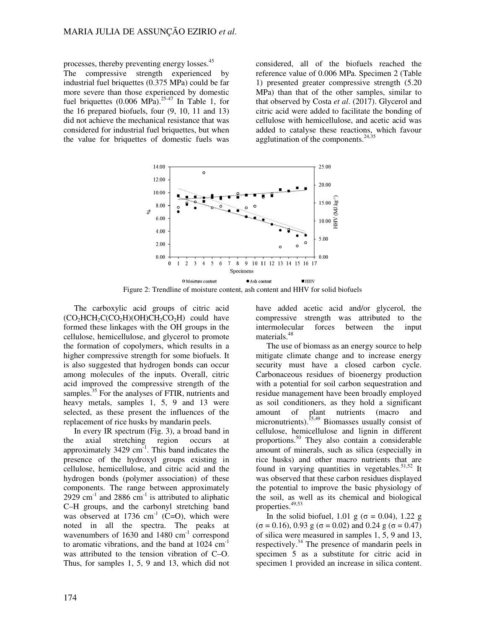processes, thereby preventing energy losses.<sup>45</sup> The compressive strength experienced by industrial fuel briquettes (0.375 MPa) could be far more severe than those experienced by domestic fuel briquettes  $(0.006 \text{ MPa})^{25-47}$  In Table 1, for the 16 prepared biofuels, four (9, 10, 11 and 13) did not achieve the mechanical resistance that was considered for industrial fuel briquettes, but when the value for briquettes of domestic fuels was

considered, all of the biofuels reached the reference value of 0.006 MPa. Specimen 2 (Table 1) presented greater compressive strength (5.20 MPa) than that of the other samples, similar to that observed by Costa *et al*. (2017). Glycerol and citric acid were added to facilitate the bonding of cellulose with hemicellulose, and acetic acid was added to catalyse these reactions, which favour agglutination of the components. $24,35$ 



Figure 2: Trendline of moisture content, ash content and HHV for solid biofuels

The carboxylic acid groups of citric acid  $(CO<sub>2</sub>HCH<sub>2</sub>C(CO<sub>2</sub>H)(OH)CH<sub>2</sub>CO<sub>2</sub>H)$  could have formed these linkages with the OH groups in the cellulose, hemicellulose, and glycerol to promote the formation of copolymers, which results in a higher compressive strength for some biofuels. It is also suggested that hydrogen bonds can occur among molecules of the inputs. Overall, citric acid improved the compressive strength of the samples.<sup>35</sup> For the analyses of FTIR, nutrients and heavy metals, samples 1, 5, 9 and 13 were selected, as these present the influences of the replacement of rice husks by mandarin peels.

In every IR spectrum (Fig. 3), a broad band in the axial stretching region occurs at approximately  $3429 \text{ cm}^{-1}$ . This band indicates the presence of the hydroxyl groups existing in cellulose, hemicellulose, and citric acid and the hydrogen bonds (polymer association) of these components. The range between approximately 2929 cm<sup>-1</sup> and 2886 cm<sup>-1</sup> is attributed to aliphatic C–H groups, and the carbonyl stretching band was observed at 1736  $cm<sup>-1</sup>$  (C=O), which were noted in all the spectra. The peaks at wavenumbers of  $1630$  and  $1480$  cm<sup>-1</sup> correspond to aromatic vibrations, and the band at 1024 cm<sup>-1</sup> was attributed to the tension vibration of C–O. Thus, for samples 1, 5, 9 and 13, which did not

have added acetic acid and/or glycerol, the compressive strength was attributed to the intermolecular forces between the input materials.<sup>48</sup>

The use of biomass as an energy source to help mitigate climate change and to increase energy security must have a closed carbon cycle. Carbonaceous residues of bioenergy production with a potential for soil carbon sequestration and residue management have been broadly employed as soil conditioners, as they hold a significant amount of plant nutrients (macro and micronutrients).<sup>15,49</sup> Biomasses usually consist of cellulose, hemicellulose and lignin in different proportions.<sup>50</sup> They also contain a considerable amount of minerals, such as silica (especially in rice husks) and other macro nutrients that are found in varying quantities in vegetables.<sup>51,52</sup> It was observed that these carbon residues displayed the potential to improve the basic physiology of the soil, as well as its chemical and biological properties.<sup>49,53</sup>

In the solid biofuel, 1.01 g ( $\sigma = 0.04$ ), 1.22 g  $(σ = 0.16)$ , 0.93 g  $(σ = 0.02)$  and 0.24 g  $(σ = 0.47)$ of silica were measured in samples 1, 5, 9 and 13, respectively.<sup>34</sup> The presence of mandarin peels in specimen 5 as a substitute for citric acid in specimen 1 provided an increase in silica content.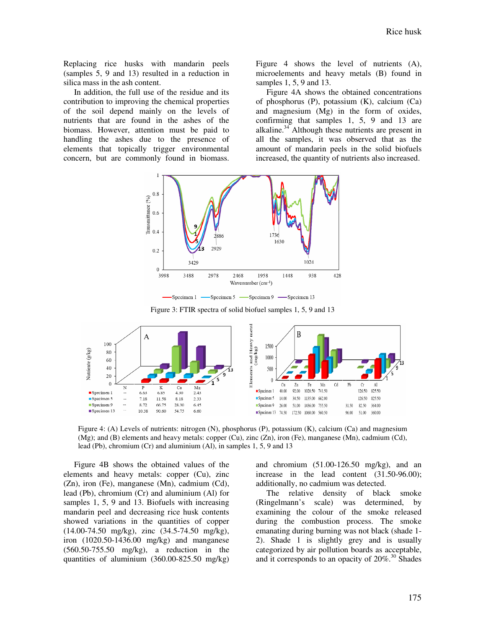Replacing rice husks with mandarin peels (samples 5, 9 and 13) resulted in a reduction in silica mass in the ash content.

In addition, the full use of the residue and its contribution to improving the chemical properties of the soil depend mainly on the levels of nutrients that are found in the ashes of the biomass. However, attention must be paid to handling the ashes due to the presence of elements that topically trigger environmental concern, but are commonly found in biomass.

Figure 4 shows the level of nutrients (A), microelements and heavy metals (B) found in samples 1, 5, 9 and 13.

Figure 4A shows the obtained concentrations of phosphorus (P), potassium (K), calcium (Ca) and magnesium (Mg) in the form of oxides, confirming that samples 1, 5, 9 and 13 are alkaline. $34$  Although these nutrients are present in all the samples, it was observed that as the amount of mandarin peels in the solid biofuels increased, the quantity of nutrients also increased.



Figure 3: FTIR spectra of solid biofuel samples 1, 5, 9 and 13



Figure 4: (A) Levels of nutrients: nitrogen (N), phosphorus (P), potassium (K), calcium (Ca) and magnesium (Mg); and (B) elements and heavy metals: copper (Cu), zinc (Zn), iron (Fe), manganese (Mn), cadmium (Cd), lead (Pb), chromium (Cr) and aluminium (Al), in samples 1, 5, 9 and 13

Figure 4B shows the obtained values of the elements and heavy metals: copper (Cu), zinc (Zn), iron (Fe), manganese (Mn), cadmium (Cd), lead (Pb), chromium (Cr) and aluminium (Al) for samples 1, 5, 9 and 13. Biofuels with increasing mandarin peel and decreasing rice husk contents showed variations in the quantities of copper (14.00-74.50 mg/kg), zinc (34.5-74.50 mg/kg), iron (1020.50-1436.00 mg/kg) and manganese (560.50-755.50 mg/kg), a reduction in the quantities of aluminium (360.00-825.50 mg/kg) and chromium (51.00-126.50 mg/kg), and an increase in the lead content (31.50-96.00); additionally, no cadmium was detected.

The relative density of black smoke (Ringelmann's scale) was determined, by examining the colour of the smoke released during the combustion process. The smoke emanating during burning was not black (shade 1- 2). Shade 1 is slightly grey and is usually categorized by air pollution boards as acceptable, and it corresponds to an opacity of  $20\%$ .<sup>30</sup> Shades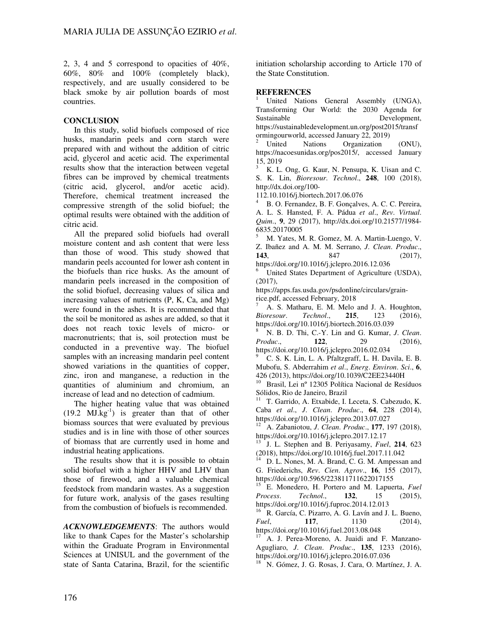2, 3, 4 and 5 correspond to opacities of 40%, 60%, 80% and 100% (completely black), respectively, and are usually considered to be black smoke by air pollution boards of most countries.

# **CONCLUSION**

In this study, solid biofuels composed of rice husks, mandarin peels and corn starch were prepared with and without the addition of citric acid, glycerol and acetic acid. The experimental results show that the interaction between vegetal fibres can be improved by chemical treatments (citric acid, glycerol, and/or acetic acid). Therefore, chemical treatment increased the compressive strength of the solid biofuel; the optimal results were obtained with the addition of citric acid.

All the prepared solid biofuels had overall moisture content and ash content that were less than those of wood. This study showed that mandarin peels accounted for lower ash content in the biofuels than rice husks. As the amount of mandarin peels increased in the composition of the solid biofuel, decreasing values of silica and increasing values of nutrients (P, K, Ca, and Mg) were found in the ashes. It is recommended that the soil be monitored as ashes are added, so that it does not reach toxic levels of micro- or macronutrients; that is, soil protection must be conducted in a preventive way. The biofuel samples with an increasing mandarin peel content showed variations in the quantities of copper, zinc, iron and manganese, a reduction in the quantities of aluminium and chromium, an increase of lead and no detection of cadmium.

The higher heating value that was obtained  $(19.2 \text{ MJ.kg}^{-1})$  is greater than that of other biomass sources that were evaluated by previous studies and is in line with those of other sources of biomass that are currently used in home and industrial heating applications.

The results show that it is possible to obtain solid biofuel with a higher HHV and LHV than those of firewood, and a valuable chemical feedstock from mandarin wastes. As a suggestion for future work, analysis of the gases resulting from the combustion of biofuels is recommended.

*ACKNOWLEDGEMENTS*: The authors would like to thank Capes for the Master's scholarship within the Graduate Program in Environmental Sciences at UNISUL and the government of the state of Santa Catarina, Brazil, for the scientific

initiation scholarship according to Article 170 of the State Constitution.

# **REFERENCES**

United Nations General Assembly (UNGA), Transforming Our World: the 2030 Agenda for Sustainable Development, https://sustainabledevelopment.un.org/post2015/transf ormingourworld, accessed January 22, 2019)

<sup>2</sup> United Nations Organization (ONU), https://nacoesunidas.org/pos2015/, accessed January 15, 2019

<sup>3</sup> K. L. Ong, G. Kaur, N. Pensupa, K. Uisan and C. S. K. Lin, *Bioresour*. *Technol*., **248**, 100 (2018), http://dx.doi.org/100-

112.10.1016/j.biortech.2017.06.076

<sup>4</sup> B. O. Fernandez, B. F. Gonçalves, A. C. C. Pereira, A. L. S. Hansted, F. A. Pádua *et al*., *Rev*. *Virtual*. *Quim*., **9**, 29 (2017), http://dx.doi.org/10.21577/1984- 6835.20170005

<sup>5</sup> M. Yates, M. R. Gomez, M. A. Martin-Luengo, V. Z. Ibañez and A. M. M. Serrano, *J*. *Clean*. *Produc*., **143**, 847 (2017),

https://doi.org/10.1016/j.jclepro.2016.12.036

United States Department of Agriculture (USDA),  $(2017)$ ,

https://apps.fas.usda.gov/psdonline/circulars/grainrice.pdf, accessed February, 2018

A. S. Matharu, E. M. Melo and J. A. Houghton, *Bioresour*. *Technol*., **215**, 123 (2016), https://doi.org/10.1016/j.biortech.2016.03.039

<sup>8</sup> N. B. D. Thi, C.-Y. Lin and G. Kumar, *J*. *Clean*. *Produc*., **122**, 29 (2016), https://doi.org/10.1016/j.jclepro.2016.02.034

<sup>9</sup> C. S. K. Lin, L. A. Pfaltzgraff, L. H. Davila, E. B. Mubofu, S. Abderrahim *et al*., *Energ*. *Environ*. *Sci*., **6**, 426 (2013), https://doi.org/10.1039/C2EE23440H

<sup>10</sup> Brasil, Lei nº 12305 Política Nacional de Resíduos Sólidos, Rio de Janeiro, Brazil

<sup>11</sup> T. Garrido, A. Etxabide, I. Leceta, S. Cabezudo, K. Caba *et al*., *J*. *Clean*. *Produc*., **64**, 228 (2014), https://doi.org/10.1016/j.jclepro.2013.07.027

<sup>12</sup> A. Zabaniotou, *J*. *Clean*. *Produc*., **177**, 197 (2018), https://doi.org/10.1016/j.jclepro.2017.12.17

<sup>13</sup> J. L. Stephen and B. Periyasamy, *Fuel*, **214**, 623 (2018), https://doi.org/10.1016/j.fuel.2017.11.042

D. L. Nones, M. A. Brand, C. G. M. Ampessan and G. Friederichs, *Rev*. *Cien*. *Agrov*., **16**, 155 (2017), https://doi.org/10.5965/223811711622017155

<sup>15</sup> E. Monedero, H. Portero and M. Lapuerta, *Fuel Process*. *Technol*., **132**, 15 (2015), https://doi.org/10.1016/j.fuproc.2014.12.013

<sup>16</sup> R. García, C. Pizarro, A. G. Lavín and J. L. Bueno, *Fuel*, **117**, **1130** (2014), https://doi.org/10.1016/j.fuel.2013.08.048

<sup>17</sup> A. J. Perea-Moreno, A. Juaidi and F. Manzano-Agugliaro, *J*. *Clean*. *Produc*., **135**, 1233 (2016), https://doi.org/10.1016/j.jclepro.2016.07.036

<sup>18</sup> N. Gómez, J. G. Rosas, J. Cara, O. Martínez, J. A.